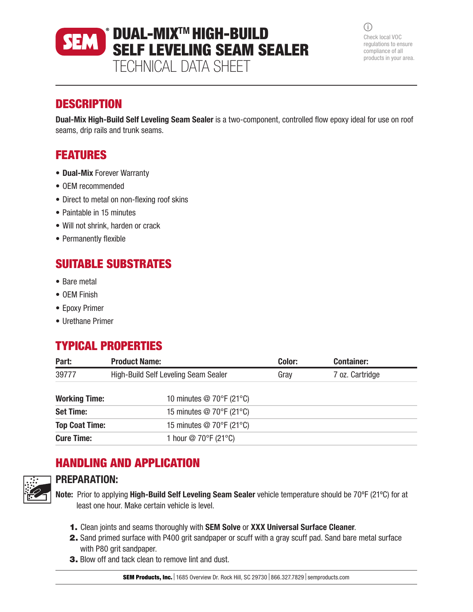### DUAL-MIXTM HIGH-BUILD **SEM** SELF LEVELING SEAM SEALER TECHNICAL DATA SHEET

 $(i)$ Check local VOC regulations to ensure compliance of all products in your area.

### **DESCRIPTION**

Dual-Mix High-Build Self Leveling Seam Sealer is a two-component, controlled flow epoxy ideal for use on roof seams, drip rails and trunk seams.

## FEATURES

- Dual-Mix Forever Warranty
- OEM recommended
- Direct to metal on non-flexing roof skins
- Paintable in 15 minutes
- Will not shrink, harden or crack
- Permanently flexible

## SUITABLE SUBSTRATES

- Bare metal
- OEM Finish
- Epoxy Primer
- Urethane Primer

# TYPICAL PROPERTIES

| Part:                 | <b>Product Name:</b>                           | Color: | <b>Container:</b> |  |
|-----------------------|------------------------------------------------|--------|-------------------|--|
| 39777                 | High-Build Self Leveling Seam Sealer           | Gray   | 7 oz. Cartridge   |  |
| <b>Working Time:</b>  | 10 minutes $@$ 70 $\degree$ F (21 $\degree$ C) |        |                   |  |
| <b>Set Time:</b>      | 15 minutes @ 70°F (21°C)                       |        |                   |  |
| <b>Top Coat Time:</b> | 15 minutes $@$ 70 $\degree$ F (21 $\degree$ C) |        |                   |  |
| <b>Cure Time:</b>     | 1 hour @ 70°F (21°C)                           |        |                   |  |

# HANDLING AND APPLICATION



### PREPARATION:

Note: Prior to applying High-Build Self Leveling Seam Sealer vehicle temperature should be 70ºF (21ºC) for at least one hour. Make certain vehicle is level.

- 1. Clean joints and seams thoroughly with SEM Solve or XXX Universal Surface Cleaner.
- 2. Sand primed surface with P400 grit sandpaper or scuff with a gray scuff pad. Sand bare metal surface with P80 grit sandpaper.
- 3. Blow off and tack clean to remove lint and dust.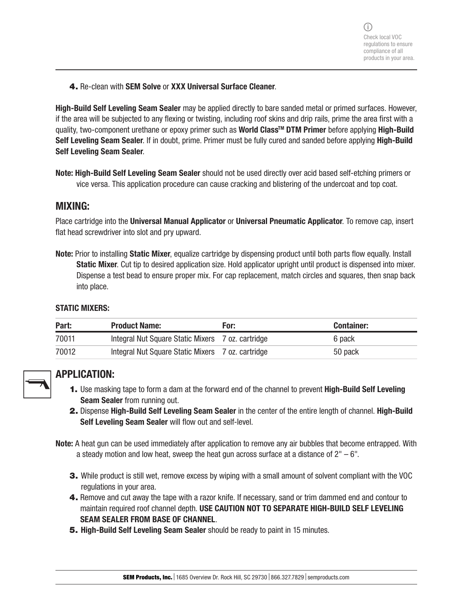4. Re-clean with SEM Solve or XXX Universal Surface Cleaner.

High-Build Self Leveling Seam Sealer may be applied directly to bare sanded metal or primed surfaces. However, if the area will be subjected to any flexing or twisting, including roof skins and drip rails, prime the area first with a quality, two-component urethane or epoxy primer such as World Class<sup>™</sup> DTM Primer before applying High-Build Self Leveling Seam Sealer. If in doubt, prime. Primer must be fully cured and sanded before applying High-Build Self Leveling Seam Sealer.

Note: High-Build Self Leveling Seam Sealer should not be used directly over acid based self-etching primers or vice versa. This application procedure can cause cracking and blistering of the undercoat and top coat.

### MIXING:

Place cartridge into the Universal Manual Applicator or Universal Pneumatic Applicator. To remove cap, insert flat head screwdriver into slot and pry upward.

Note: Prior to installing Static Mixer, equalize cartridge by dispensing product until both parts flow equally. Install Static Mixer. Cut tip to desired application size. Hold applicator upright until product is dispensed into mixer. Dispense a test bead to ensure proper mix. For cap replacement, match circles and squares, then snap back into place.

#### STATIC MIXERS:

| Part: | <b>Product Name:</b>                              | For: | <b>Container:</b> |
|-------|---------------------------------------------------|------|-------------------|
| 70011 | Integral Nut Square Static Mixers 7 oz. cartridge |      | 6 pack            |
| 70012 | Integral Nut Square Static Mixers 7 oz. cartridge |      | 50 pack           |



### APPLICATION:

- 1. Use masking tape to form a dam at the forward end of the channel to prevent High-Build Self Leveling Seam Sealer from running out.
- 2. Dispense High-Build Self Leveling Seam Sealer in the center of the entire length of channel. High-Build Self Leveling Seam Sealer will flow out and self-level.

Note: A heat gun can be used immediately after application to remove any air bubbles that become entrapped. With a steady motion and low heat, sweep the heat gun across surface at a distance of  $2<sup>0</sup> - 6<sup>0</sup>$ .

- 3. While product is still wet, remove excess by wiping with a small amount of solvent compliant with the VOC regulations in your area.
- 4. Remove and cut away the tape with a razor knife. If necessary, sand or trim dammed end and contour to maintain required roof channel depth. USE CAUTION NOT TO SEPARATE HIGH-BUILD SELF LEVELING SEAM SEALER FROM BASE OF CHANNEL.
- **5. High-Build Self Leveling Seam Sealer** should be ready to paint in 15 minutes.